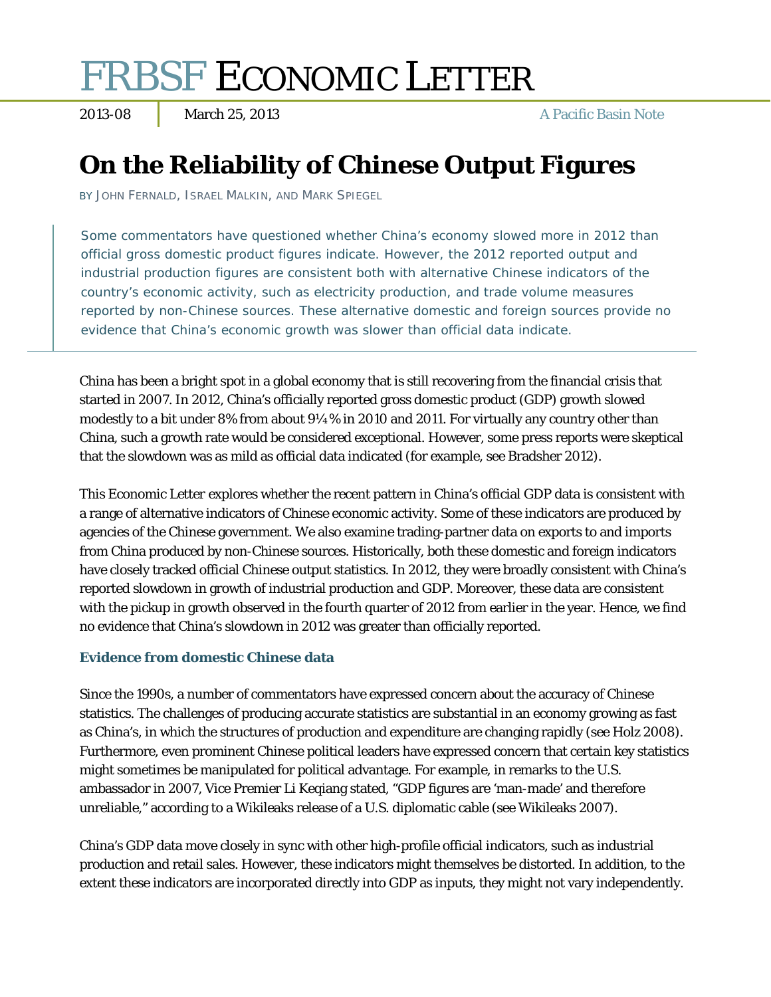# FRBSF ECONOMIC LETTER

2013-08 March 25, 2013 A Pacific Basin Note

## **On the Reliability of Chinese Output Figures**

BY JOHN FERNALD, ISRAEL MALKIN, AND MARK SPIEGEL

Some commentators have questioned whether China's economy slowed more in 2012 than official gross domestic product figures indicate. However, the 2012 reported output and industrial production figures are consistent both with alternative Chinese indicators of the country's economic activity, such as electricity production, and trade volume measures reported by non-Chinese sources. These alternative domestic and foreign sources provide no evidence that China's economic growth was slower than official data indicate.

China has been a bright spot in a global economy that is still recovering from the financial crisis that started in 2007. In 2012, China's officially reported gross domestic product (GDP) growth slowed modestly to a bit under 8% from about 9¼% in 2010 and 2011. For virtually any country other than China, such a growth rate would be considered exceptional. However, some press reports were skeptical that the slowdown was as mild as official data indicated (for example, see Bradsher 2012).

This *Economic Letter* explores whether the recent pattern in China's official GDP data is consistent with a range of alternative indicators of Chinese economic activity. Some of these indicators are produced by agencies of the Chinese government. We also examine trading-partner data on exports to and imports from China produced by non-Chinese sources. Historically, both these domestic and foreign indicators have closely tracked official Chinese output statistics. In 2012, they were broadly consistent with China's reported slowdown in growth of industrial production and GDP. Moreover, these data are consistent with the pickup in growth observed in the fourth quarter of 2012 from earlier in the year. Hence, we find no evidence that China's slowdown in 2012 was greater than officially reported.

### **Evidence from domestic Chinese data**

Since the 1990s, a number of commentators have expressed concern about the accuracy of Chinese statistics. The challenges of producing accurate statistics are substantial in an economy growing as fast as China's, in which the structures of production and expenditure are changing rapidly (see Holz 2008). Furthermore, even prominent Chinese political leaders have expressed concern that certain key statistics might sometimes be manipulated for political advantage. For example, in remarks to the U.S. ambassador in 2007, Vice Premier Li Keqiang stated, "GDP figures are 'man-made' and therefore unreliable," according to a Wikileaks release of a U.S. diplomatic cable (see Wikileaks 2007).

China's GDP data move closely in sync with other high-profile official indicators, such as industrial production and retail sales. However, these indicators might themselves be distorted. In addition, to the extent these indicators are incorporated directly into GDP as inputs, they might not vary independently.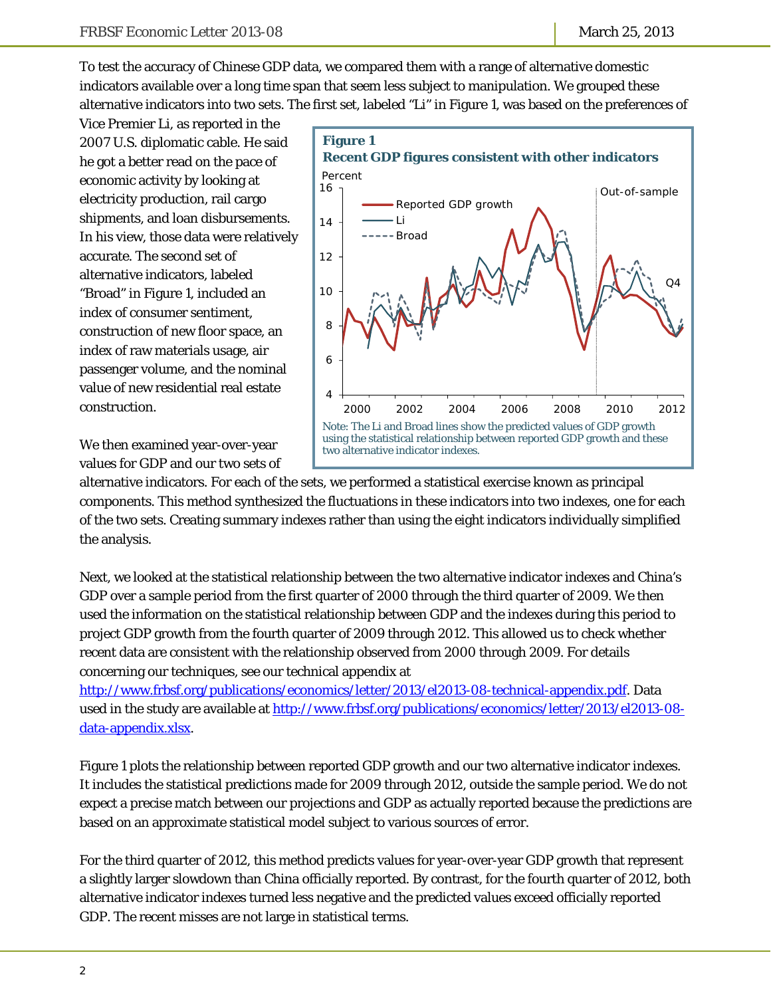To test the accuracy of Chinese GDP data, we compared them with a range of alternative domestic indicators available over a long time span that seem less subject to manipulation. We grouped these alternative indicators into two sets. The first set, labeled "Li" in Figure 1, was based on the preferences of

Vice Premier Li, as reported in the 2007 U.S. diplomatic cable. He said he got a better read on the pace of economic activity by looking at electricity production, rail cargo shipments, and loan disbursements. In his view, those data were relatively accurate. The second set of alternative indicators, labeled "Broad" in Figure 1, included an index of consumer sentiment, construction of new floor space, an index of raw materials usage, air passenger volume, and the nominal value of new residential real estate construction.

We then examined year-over-year values for GDP and our two sets of



alternative indicators. For each of the sets, we performed a statistical exercise known as principal components. This method synthesized the fluctuations in these indicators into two indexes, one for each of the two sets. Creating summary indexes rather than using the eight indicators individually simplified the analysis.

Next, we looked at the statistical relationship between the two alternative indicator indexes and China's GDP over a sample period from the first quarter of 2000 through the third quarter of 2009. We then used the information on the statistical relationship between GDP and the indexes during this period to project GDP growth from the fourth quarter of 2009 through 2012. This allowed us to check whether recent data are consistent with the relationship observed from 2000 through 2009. For details concerning our techniques, see our technical appendix at

http://www.frbsf.org/publications/economics/letter/2013/el2013-08-technical-appendix.pdf. Data used in the study are available at http://www.frbsf.org/publications/economics/letter/2013/el2013-08data-appendix.xlsx.

Figure 1 plots the relationship between reported GDP growth and our two alternative indicator indexes. It includes the statistical predictions made for 2009 through 2012, outside the sample period. We do not expect a precise match between our projections and GDP as actually reported because the predictions are based on an approximate statistical model subject to various sources of error.

For the third quarter of 2012, this method predicts values for year-over-year GDP growth that represent a slightly larger slowdown than China officially reported. By contrast, for the fourth quarter of 2012, both alternative indicator indexes turned less negative and the predicted values exceed officially reported GDP. The recent misses are not large in statistical terms.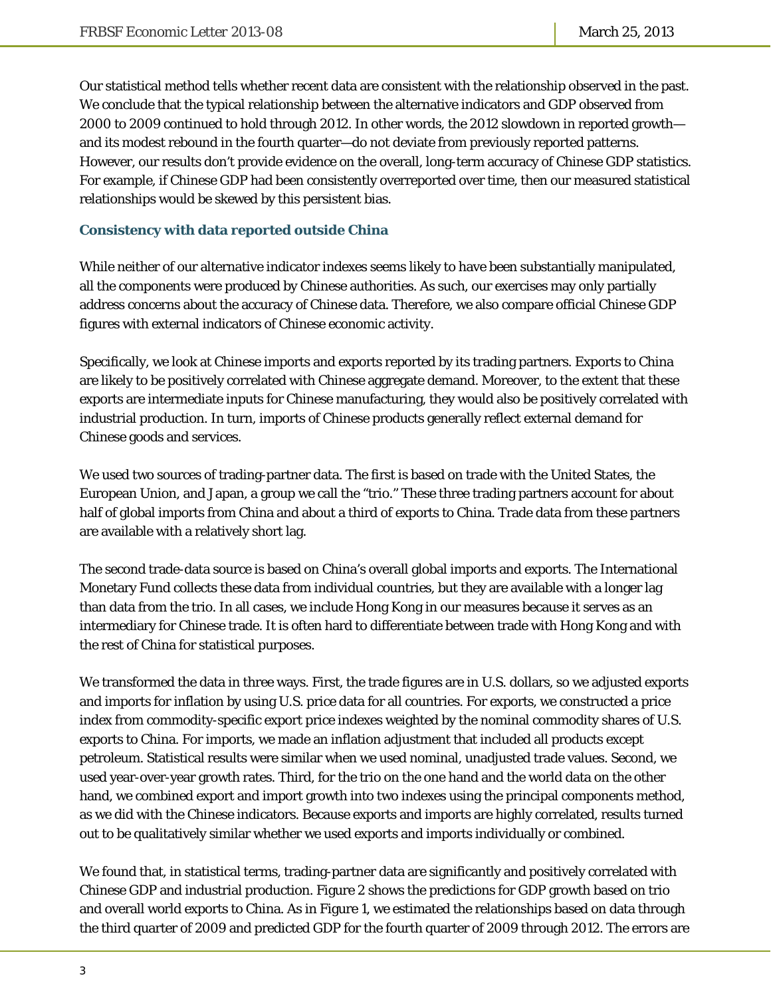Our statistical method tells whether recent data are consistent with the relationship observed in the past. We conclude that the typical relationship between the alternative indicators and GDP observed from 2000 to 2009 continued to hold through 2012. In other words, the 2012 slowdown in reported growth and its modest rebound in the fourth quarter—do not deviate from previously reported patterns. However, our results don't provide evidence on the overall, long-term accuracy of Chinese GDP statistics. For example, if Chinese GDP had been consistently overreported over time, then our measured statistical relationships would be skewed by this persistent bias.

#### **Consistency with data reported outside China**

While neither of our alternative indicator indexes seems likely to have been substantially manipulated, all the components were produced by Chinese authorities. As such, our exercises may only partially address concerns about the accuracy of Chinese data. Therefore, we also compare official Chinese GDP figures with external indicators of Chinese economic activity.

Specifically, we look at Chinese imports and exports reported by its trading partners. Exports to China are likely to be positively correlated with Chinese aggregate demand. Moreover, to the extent that these exports are intermediate inputs for Chinese manufacturing, they would also be positively correlated with industrial production. In turn, imports of Chinese products generally reflect external demand for Chinese goods and services.

We used two sources of trading-partner data. The first is based on trade with the United States, the European Union, and Japan, a group we call the "trio." These three trading partners account for about half of global imports from China and about a third of exports to China. Trade data from these partners are available with a relatively short lag.

The second trade-data source is based on China's overall global imports and exports. The International Monetary Fund collects these data from individual countries, but they are available with a longer lag than data from the trio. In all cases, we include Hong Kong in our measures because it serves as an intermediary for Chinese trade. It is often hard to differentiate between trade with Hong Kong and with the rest of China for statistical purposes.

We transformed the data in three ways. First, the trade figures are in U.S. dollars, so we adjusted exports and imports for inflation by using U.S. price data for all countries. For exports, we constructed a price index from commodity-specific export price indexes weighted by the nominal commodity shares of U.S. exports to China. For imports, we made an inflation adjustment that included all products except petroleum. Statistical results were similar when we used nominal, unadjusted trade values. Second, we used year-over-year growth rates. Third, for the trio on the one hand and the world data on the other hand, we combined export and import growth into two indexes using the principal components method, as we did with the Chinese indicators. Because exports and imports are highly correlated, results turned out to be qualitatively similar whether we used exports and imports individually or combined.

We found that, in statistical terms, trading-partner data are significantly and positively correlated with Chinese GDP and industrial production. Figure 2 shows the predictions for GDP growth based on trio and overall world exports to China. As in Figure 1, we estimated the relationships based on data through the third quarter of 2009 and predicted GDP for the fourth quarter of 2009 through 2012. The errors are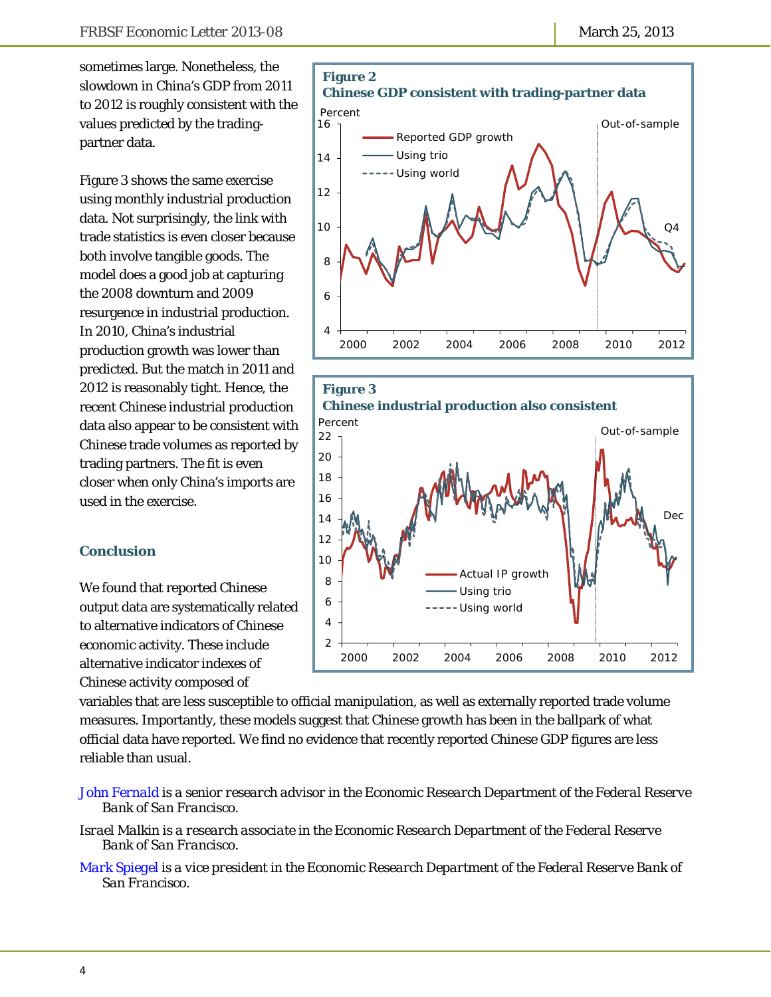sometimes large. Nonetheless, the slowdown in China's GDP from 2011 to 2012 is roughly consistent with the values predicted by the tradingpartner data.

Figure 3 shows the same exercise using monthly industrial production data. Not surprisingly, the link with trade statistics is even closer because both involve tangible goods. The model does a good job at capturing the 2008 downturn and 2009 resurgence in industrial production. In 2010, China's industrial production growth was lower than predicted. But the match in 2011 and 2012 is reasonably tight. Hence, the recent Chinese industrial production data also appear to be consistent with Chinese trade volumes as reported by trading partners. The fit is even closer when only China's imports are used in the exercise.

### **Conclusion**

We found that reported Chinese output data are systematically related to alternative indicators of Chinese economic activity. These include alternative indicator indexes of Chinese activity composed of





variables that are less susceptible to official manipulation, as well as externally reported trade volume measures. Importantly, these models suggest that Chinese growth has been in the ballpark of what official data have reported. We find no evidence that recently reported Chinese GDP figures are less reliable than usual.

- *[John Fernald is](http://www.frbsf.org/economics/economists/staff.php?jfernald) a senior research advisor in the Economic Research Department of the Federal Reserve Bank of San Francisco.*
- *Israel Malkin is a research associate in the Economic Research Department of the Federal Reserve Bank of San Francisco.*
- *[Mark Spiegel is](http://www.frbsf.org/economics/economists/staff.php?mspiegel) a vice president in the Economic Research Department of the Federal Reserve Bank of San Francisco.*